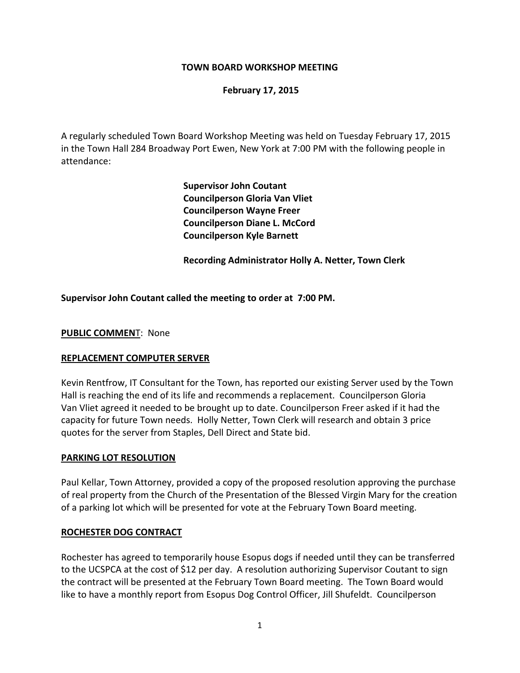### **TOWN BOARD WORKSHOP MEETING**

#### **February 17, 2015**

A regularly scheduled Town Board Workshop Meeting was held on Tuesday February 17, 2015 in the Town Hall 284 Broadway Port Ewen, New York at 7:00 PM with the following people in attendance:

> **Supervisor John Coutant Councilperson Gloria Van Vliet Councilperson Wayne Freer Councilperson Diane L. McCord Councilperson Kyle Barnett**

 **Recording Administrator Holly A. Netter, Town Clerk**

#### **Supervisor John Coutant called the meeting to order at 7:00 PM.**

#### **PUBLIC COMMEN**T: None

#### **REPLACEMENT COMPUTER SERVER**

Kevin Rentfrow, IT Consultant for the Town, has reported our existing Server used by the Town Hall is reaching the end of its life and recommends a replacement. Councilperson Gloria Van Vliet agreed it needed to be brought up to date. Councilperson Freer asked if it had the capacity for future Town needs. Holly Netter, Town Clerk will research and obtain 3 price quotes for the server from Staples, Dell Direct and State bid.

#### **PARKING LOT RESOLUTION**

Paul Kellar, Town Attorney, provided a copy of the proposed resolution approving the purchase of real property from the Church of the Presentation of the Blessed Virgin Mary for the creation of a parking lot which will be presented for vote at the February Town Board meeting.

#### **ROCHESTER DOG CONTRACT**

Rochester has agreed to temporarily house Esopus dogs if needed until they can be transferred to the UCSPCA at the cost of \$12 per day. A resolution authorizing Supervisor Coutant to sign the contract will be presented at the February Town Board meeting. The Town Board would like to have a monthly report from Esopus Dog Control Officer, Jill Shufeldt. Councilperson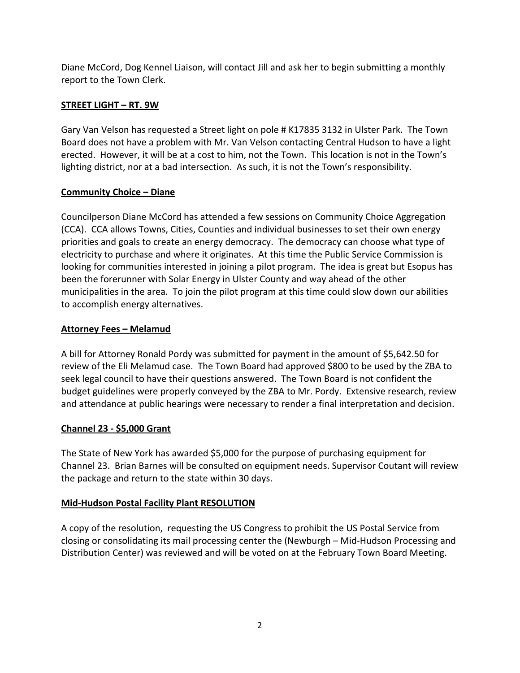Diane McCord, Dog Kennel Liaison, will contact Jill and ask her to begin submitting a monthly report to the Town Clerk.

# **STREET LIGHT – RT. 9W**

Gary Van Velson has requested a Street light on pole # K17835 3132 in Ulster Park. The Town Board does not have a problem with Mr. Van Velson contacting Central Hudson to have a light erected. However, it will be at a cost to him, not the Town. This location is not in the Town's lighting district, nor at a bad intersection. As such, it is not the Town's responsibility.

# **Community Choice – Diane**

Councilperson Diane McCord has attended a few sessions on Community Choice Aggregation (CCA). CCA allows Towns, Cities, Counties and individual businesses to set their own energy priorities and goals to create an energy democracy. The democracy can choose what type of electricity to purchase and where it originates. At this time the Public Service Commission is looking for communities interested in joining a pilot program. The idea is great but Esopus has been the forerunner with Solar Energy in Ulster County and way ahead of the other municipalities in the area. To join the pilot program at this time could slow down our abilities to accomplish energy alternatives.

## **Attorney Fees – Melamud**

A bill for Attorney Ronald Pordy was submitted for payment in the amount of \$5,642.50 for review of the Eli Melamud case. The Town Board had approved \$800 to be used by the ZBA to seek legal council to have their questions answered. The Town Board is not confident the budget guidelines were properly conveyed by the ZBA to Mr. Pordy. Extensive research, review and attendance at public hearings were necessary to render a final interpretation and decision.

## **Channel 23 ‐ \$5,000 Grant**

The State of New York has awarded \$5,000 for the purpose of purchasing equipment for Channel 23.Brian Barnes will be consulted on equipment needs. Supervisor Coutant will review the package and return to the state within 30 days.

### **Mid‐Hudson Postal Facility Plant RESOLUTION**

A copy of the resolution, requesting the US Congress to prohibit the US Postal Service from closing or consolidating its mail processing center the (Newburgh – Mid‐Hudson Processing and Distribution Center) was reviewed and will be voted on at the February Town Board Meeting.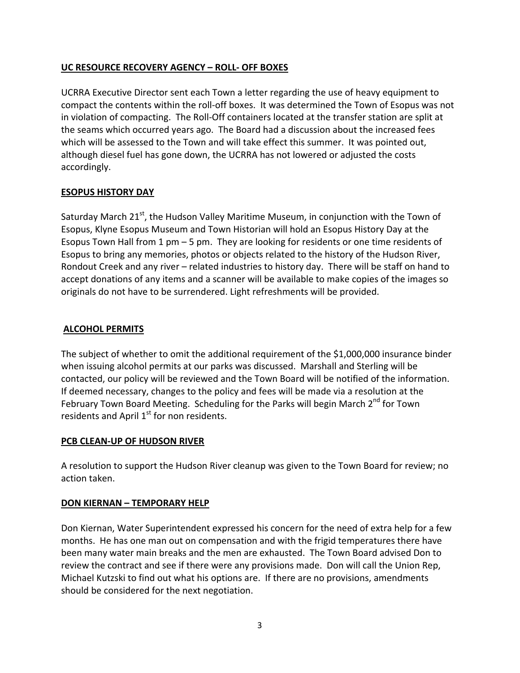## **UC RESOURCE RECOVERY AGENCY – ROLL‐ OFF BOXES**

UCRRA Executive Director sent each Town a letter regarding the use of heavy equipment to compact the contents within the roll‐off boxes. It was determined the Town of Esopus was not in violation of compacting. The Roll-Off containers located at the transfer station are split at the seams which occurred years ago. The Board had a discussion about the increased fees which will be assessed to the Town and will take effect this summer. It was pointed out, although diesel fuel has gone down, the UCRRA has not lowered or adjusted the costs accordingly.

## **ESOPUS HISTORY DAY**

Saturday March 21 $^{st}$ , the Hudson Valley Maritime Museum, in conjunction with the Town of Esopus, Klyne Esopus Museum and Town Historian will hold an Esopus History Day at the Esopus Town Hall from 1 pm – 5 pm. They are looking for residents or one time residents of Esopus to bring any memories, photos or objects related to the history of the Hudson River, Rondout Creek and any river – related industries to history day. There will be staff on hand to accept donations of any items and a scanner will be available to make copies of the images so originals do not have to be surrendered. Light refreshments will be provided.

### **ALCOHOL PERMITS**

The subject of whether to omit the additional requirement of the \$1,000,000 insurance binder when issuing alcohol permits at our parks was discussed. Marshall and Sterling will be contacted, our policy will be reviewed and the Town Board will be notified of the information. If deemed necessary, changes to the policy and fees will be made via a resolution at the February Town Board Meeting. Scheduling for the Parks will begin March 2<sup>nd</sup> for Town residents and April  $1<sup>st</sup>$  for non residents.

### **PCB CLEAN‐UP OF HUDSON RIVER**

A resolution to support the Hudson River cleanup was given to the Town Board for review; no action taken.

### **DON KIERNAN – TEMPORARY HELP**

Don Kiernan, Water Superintendent expressed his concern for the need of extra help for a few months. He has one man out on compensation and with the frigid temperatures there have been many water main breaks and the men are exhausted. The Town Board advised Don to review the contract and see if there were any provisions made. Don will call the Union Rep, Michael Kutzski to find out what his options are. If there are no provisions, amendments should be considered for the next negotiation.